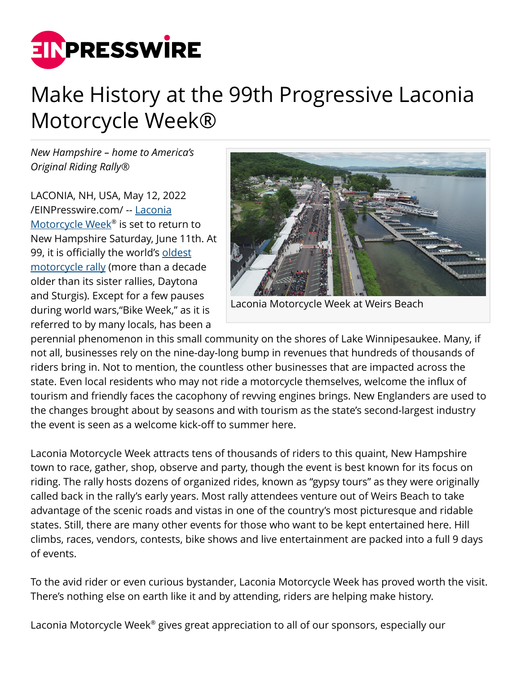

## Make History at the 99th Progressive Laconia Motorcycle Week®

*New Hampshire – home to America's Original Riding Rally®*

LACONIA, NH, USA, May 12, 2022 [/EINPresswire.com/](http://www.einpresswire.com) -- [Laconia](https://laconiamcweek.com) [Motorcycle Week](https://laconiamcweek.com)® is set to return to New Hampshire Saturday, June 11th. At 99, it is officially the world's [oldest](https://laconiamcweek.com) [motorcycle rally](https://laconiamcweek.com) (more than a decade older than its sister rallies, Daytona and Sturgis). Except for a few pauses during world wars,"Bike Week," as it is referred to by many locals, has been a



Laconia Motorcycle Week at Weirs Beach

perennial phenomenon in this small community on the shores of Lake Winnipesaukee. Many, if not all, businesses rely on the nine-day-long bump in revenues that hundreds of thousands of riders bring in. Not to mention, the countless other businesses that are impacted across the state. Even local residents who may not ride a motorcycle themselves, welcome the influx of tourism and friendly faces the cacophony of revving engines brings. New Englanders are used to the changes brought about by seasons and with tourism as the state's second-largest industry the event is seen as a welcome kick-off to summer here.

Laconia Motorcycle Week attracts tens of thousands of riders to this quaint, New Hampshire town to race, gather, shop, observe and party, though the event is best known for its focus on riding. The rally hosts dozens of organized rides, known as "gypsy tours" as they were originally called back in the rally's early years. Most rally attendees venture out of Weirs Beach to take advantage of the scenic roads and vistas in one of the country's most picturesque and ridable states. Still, there are many other events for those who want to be kept entertained here. Hill climbs, races, vendors, contests, bike shows and live entertainment are packed into a full 9 days of events.

To the avid rider or even curious bystander, Laconia Motorcycle Week has proved worth the visit. There's nothing else on earth like it and by attending, riders are helping make history.

Laconia Motorcycle Week® gives great appreciation to all of our sponsors, especially our